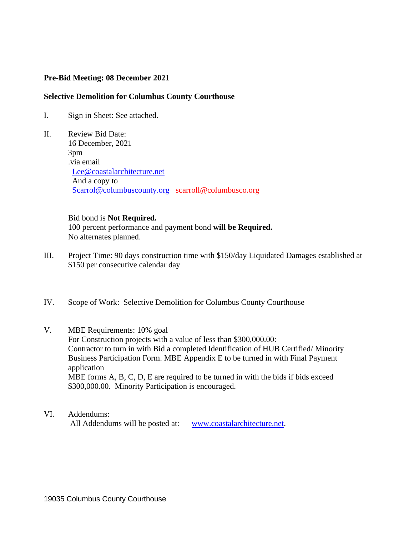## **Pre-Bid Meeting: 08 December 2021**

## **Selective Demolition for Columbus County Courthouse**

- I. Sign in Sheet: See attached.
- II. Review Bid Date: 16 December, 2021 3pm .via email [Lee@coastalarchitecture.net](mailto:Lee@coastalarchitecture.net) And a copy to [Scarrol@columbuscounty.org](mailto:Scarrol@columbuscounty.org) scarroll@columbusco.org

## Bid bond is **Not Required.**

 100 percent performance and payment bond **will be Required.** No alternates planned.

- III. Project Time: 90 days construction time with \$150/day Liquidated Damages established at \$150 per consecutive calendar day
- IV. Scope of Work: Selective Demolition for Columbus County Courthouse
- V. MBE Requirements: 10% goal For Construction projects with a value of less than \$300,000.00: Contractor to turn in with Bid a completed Identification of HUB Certified/ Minority Business Participation Form. MBE Appendix E to be turned in with Final Payment application MBE forms A, B, C, D, E are required to be turned in with the bids if bids exceed \$300,000.00. Minority Participation is encouraged.
- VI. Addendums: All Addendums will be posted at: [www.coastalarchitecture.net.](http://www.coastalarchitecture.net/)